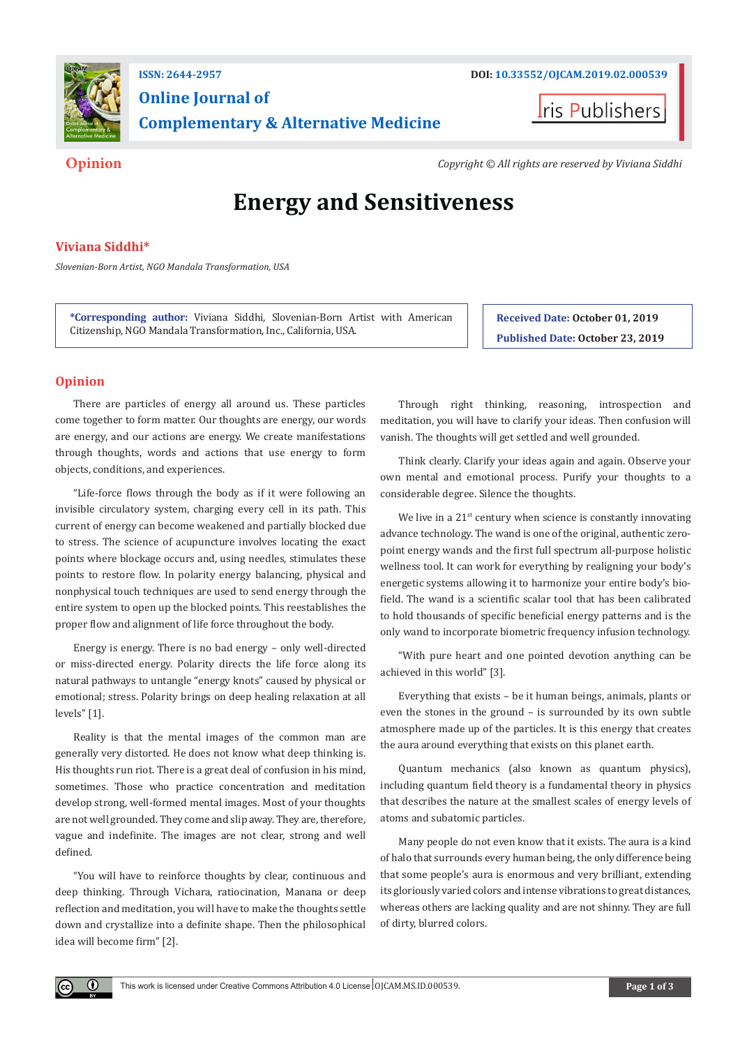

# **Online Journal of Complementary & Alternative Medicine**

**I**ris Publishers

**Opinion** *Copyright © All rights are reserved by Viviana Siddhi*

# **Energy and Sensitiveness**

# **Viviana Siddhi\***

*Slovenian-Born Artist, NGO Mandala Transformation, USA*

**\*Corresponding author:** Viviana Siddhi, Slovenian-Born Artist with American Citizenship, NGO Mandala Transformation, Inc., California, USA.

**Received Date: October 01, 2019 Published Date: October 23, 2019**

# **Opinion**

 $\left( \mathbf{r} \right)$ 

There are particles of energy all around us. These particles come together to form matter. Our thoughts are energy, our words are energy, and our actions are energy. We create manifestations through thoughts, words and actions that use energy to form objects, conditions, and experiences.

"Life-force flows through the body as if it were following an invisible circulatory system, charging every cell in its path. This current of energy can become weakened and partially blocked due to stress. The science of acupuncture involves locating the exact points where blockage occurs and, using needles, stimulates these points to restore flow. In polarity energy balancing, physical and nonphysical touch techniques are used to send energy through the entire system to open up the blocked points. This reestablishes the proper flow and alignment of life force throughout the body.

Energy is energy. There is no bad energy – only well-directed or miss-directed energy. Polarity directs the life force along its natural pathways to untangle "energy knots" caused by physical or emotional; stress. Polarity brings on deep healing relaxation at all levels" [1].

Reality is that the mental images of the common man are generally very distorted. He does not know what deep thinking is. His thoughts run riot. There is a great deal of confusion in his mind, sometimes. Those who practice concentration and meditation develop strong, well-formed mental images. Most of your thoughts are not well grounded. They come and slip away. They are, therefore, vague and indefinite. The images are not clear, strong and well defined.

"You will have to reinforce thoughts by clear, continuous and deep thinking. Through Vichara, ratiocination, Manana or deep reflection and meditation, you will have to make the thoughts settle down and crystallize into a definite shape. Then the philosophical idea will become firm" [2].

Through right thinking, reasoning, introspection and meditation, you will have to clarify your ideas. Then confusion will vanish. The thoughts will get settled and well grounded.

Think clearly. Clarify your ideas again and again. Observe your own mental and emotional process. Purify your thoughts to a considerable degree. Silence the thoughts.

We live in a 21<sup>st</sup> century when science is constantly innovating advance technology. The wand is one of the original, authentic zeropoint energy wands and the first full spectrum all-purpose holistic wellness tool. It can work for everything by realigning your body's energetic systems allowing it to harmonize your entire body's biofield. The wand is a scientific scalar tool that has been calibrated to hold thousands of specific beneficial energy patterns and is the only wand to incorporate biometric frequency infusion technology.

"With pure heart and one pointed devotion anything can be achieved in this world" [3].

Everything that exists – be it human beings, animals, plants or even the stones in the ground – is surrounded by its own subtle atmosphere made up of the particles. It is this energy that creates the aura around everything that exists on this planet earth.

Quantum mechanics (also known as quantum physics), including quantum field theory is a fundamental theory in physics that describes the nature at the smallest scales of energy levels of atoms and subatomic particles.

Many people do not even know that it exists. The aura is a kind of halo that surrounds every human being, the only difference being that some people's aura is enormous and very brilliant, extending its gloriously varied colors and intense vibrations to great distances, whereas others are lacking quality and are not shinny. They are full of dirty, blurred colors.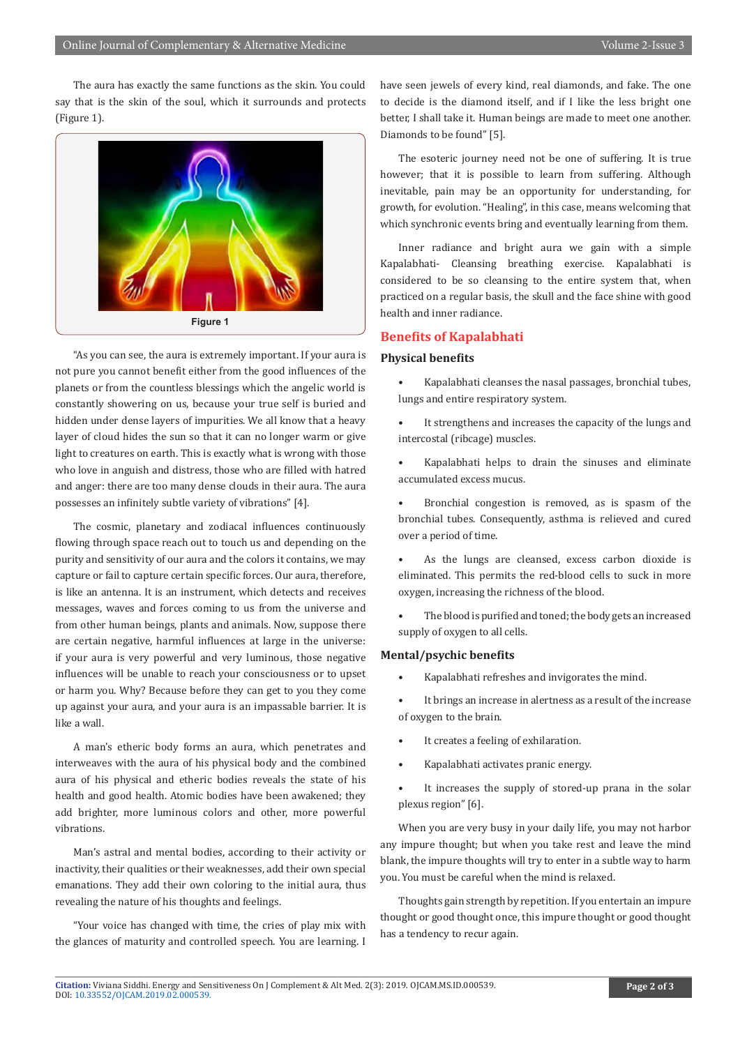The aura has exactly the same functions as the skin. You could say that is the skin of the soul, which it surrounds and protects (Figure 1).



"As you can see, the aura is extremely important. If your aura is not pure you cannot benefit either from the good influences of the planets or from the countless blessings which the angelic world is constantly showering on us, because your true self is buried and hidden under dense layers of impurities. We all know that a heavy layer of cloud hides the sun so that it can no longer warm or give light to creatures on earth. This is exactly what is wrong with those who love in anguish and distress, those who are filled with hatred and anger: there are too many dense clouds in their aura. The aura possesses an infinitely subtle variety of vibrations" [4].

The cosmic, planetary and zodiacal influences continuously flowing through space reach out to touch us and depending on the purity and sensitivity of our aura and the colors it contains, we may capture or fail to capture certain specific forces. Our aura, therefore, is like an antenna. It is an instrument, which detects and receives messages, waves and forces coming to us from the universe and from other human beings, plants and animals. Now, suppose there are certain negative, harmful influences at large in the universe: if your aura is very powerful and very luminous, those negative influences will be unable to reach your consciousness or to upset or harm you. Why? Because before they can get to you they come up against your aura, and your aura is an impassable barrier. It is like a wall.

A man's etheric body forms an aura, which penetrates and interweaves with the aura of his physical body and the combined aura of his physical and etheric bodies reveals the state of his health and good health. Atomic bodies have been awakened; they add brighter, more luminous colors and other, more powerful vibrations.

Man's astral and mental bodies, according to their activity or inactivity, their qualities or their weaknesses, add their own special emanations. They add their own coloring to the initial aura, thus revealing the nature of his thoughts and feelings.

"Your voice has changed with time, the cries of play mix with the glances of maturity and controlled speech. You are learning. I

have seen jewels of every kind, real diamonds, and fake. The one to decide is the diamond itself, and if I like the less bright one better, I shall take it. Human beings are made to meet one another. Diamonds to be found" [5].

The esoteric journey need not be one of suffering. It is true however; that it is possible to learn from suffering. Although inevitable, pain may be an opportunity for understanding, for growth, for evolution. "Healing", in this case, means welcoming that which synchronic events bring and eventually learning from them.

Inner radiance and bright aura we gain with a simple Kapalabhati- Cleansing breathing exercise. Kapalabhati is considered to be so cleansing to the entire system that, when practiced on a regular basis, the skull and the face shine with good health and inner radiance.

### **Benefits of Kapalabhati**

### **Physical benefits**

- Kapalabhati cleanses the nasal passages, bronchial tubes, lungs and entire respiratory system.
- It strengthens and increases the capacity of the lungs and intercostal (ribcage) muscles.
- Kapalabhati helps to drain the sinuses and eliminate accumulated excess mucus.
- Bronchial congestion is removed, as is spasm of the bronchial tubes. Consequently, asthma is relieved and cured over a period of time.
- As the lungs are cleansed, excess carbon dioxide is eliminated. This permits the red-blood cells to suck in more oxygen, increasing the richness of the blood.
- The blood is purified and toned; the body gets an increased supply of oxygen to all cells.

#### **Mental/psychic benefits**

- Kapalabhati refreshes and invigorates the mind.
- It brings an increase in alertness as a result of the increase of oxygen to the brain.
- It creates a feeling of exhilaration.
- Kapalabhati activates pranic energy.
- It increases the supply of stored-up prana in the solar plexus region" [6].

When you are very busy in your daily life, you may not harbor any impure thought; but when you take rest and leave the mind blank, the impure thoughts will try to enter in a subtle way to harm you. You must be careful when the mind is relaxed.

Thoughts gain strength by repetition. If you entertain an impure thought or good thought once, this impure thought or good thought has a tendency to recur again.